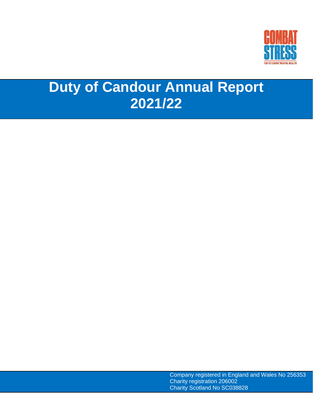

# **Duty of Candour Annual Report 2021/22**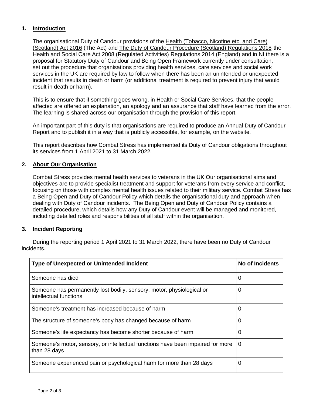## **1. Introduction**

The organisational Duty of Candour provisions of the Health [\(Tobacco,](http://www.legislation.gov.uk/asp/2016/14/contents/enacted) Nicotine etc. and Care) [\(Scotland\)](http://www.legislation.gov.uk/asp/2016/14/contents/enacted) Act 2016 (The Act) and The Duty of Candour Procedure (Scotland) [Regulations](http://www.legislation.gov.uk/ssi/2018/57/made/data.pdf) 2018, the Health and Social Care Act 2008 (Regulated Activities) Regulations 2014 (England) and in NI there is a proposal for Statutory Duty of Candour and Being Open Framework currently under consultation, set out the procedure that organisations providing health services, care services and social work services in the UK are required by law to follow when there has been an unintended or unexpected incident that results in death or harm (or additional treatment is required to prevent injury that would result in death or harm).

This is to ensure that if something goes wrong, in Health or Social Care Services, that the people affected are offered an explanation, an apology and an assurance that staff have learned from the error. The learning is shared across our organisation through the provision of this report.

An important part of this duty is that organisations are required to produce an Annual Duty of Candour Report and to publish it in a way that is publicly accessible, for example, on the website.

This report describes how Combat Stress has implemented its Duty of Candour obligations throughout its services from 1 April 2021 to 31 March 2022.

#### **2. About Our Organisation**

Combat Stress provides mental health services to veterans in the UK Our organisational aims and objectives are to provide specialist treatment and support for veterans from every service and conflict, focusing on those with complex mental health issues related to their military service. Combat Stress has a Being Open and Duty of Candour Policy which details the organisational duty and approach when dealing with Duty of Candour incidents. The Being Open and Duty of Candour Policy contains a detailed procedure, which details how any Duty of Candour event will be managed and monitored, including detailed roles and responsibilities of all staff within the organisation.

#### **3. Incident Reporting**

During the reporting period 1 April 2021 to 31 March 2022, there have been no Duty of Candour incidents.

| <b>Type of Unexpected or Unintended Incident</b>                                                | No of Incidents |
|-------------------------------------------------------------------------------------------------|-----------------|
| Someone has died                                                                                | 0               |
| Someone has permanently lost bodily, sensory, motor, physiological or<br>intellectual functions | 0               |
| Someone's treatment has increased because of harm                                               | 0               |
| The structure of someone's body has changed because of harm                                     | 0               |
| Someone's life expectancy has become shorter because of harm                                    | 0               |
| Someone's motor, sensory, or intellectual functions have been impaired for more<br>than 28 days | 0               |
| Someone experienced pain or psychological harm for more than 28 days                            | 0               |